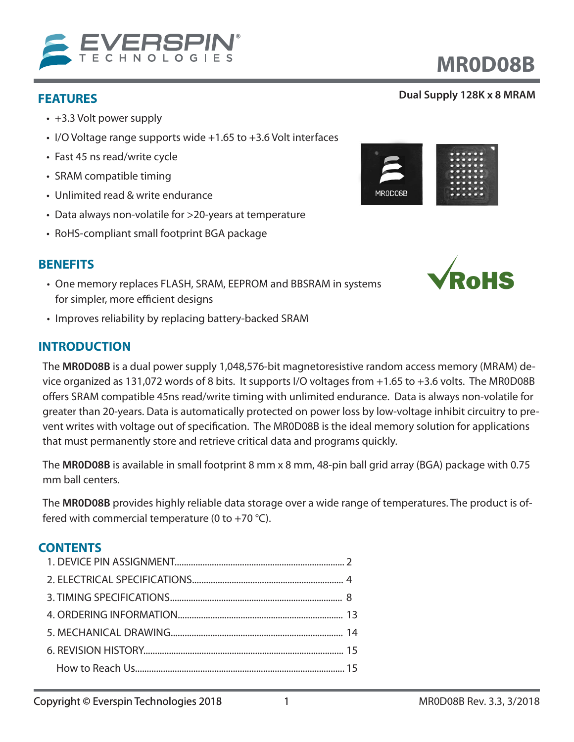

- +3.3 Volt power supply
- I/O Voltage range supports wide +1.65 to +3.6 Volt interfaces
- Fast 45 ns read/write cycle
- SRAM compatible timing
- Unlimited read & write endurance
- Data always non-volatile for >20-years at temperature
- RoHS-compliant small footprint BGA package

# **BENEFITS**

- One memory replaces FLASH, SRAM, EEPROM and BBSRAM in systems for simpler, more efficient designs
- Improves reliability by replacing battery-backed SRAM

# **INTRODUCTION**

The **MR0D08B** is a dual power supply 1,048,576-bit magnetoresistive random access memory (MRAM) device organized as 131,072 words of 8 bits. It supports I/O voltages from +1.65 to +3.6 volts. The MR0D08B offers SRAM compatible 45ns read/write timing with unlimited endurance. Data is always non-volatile for greater than 20-years. Data is automatically protected on power loss by low-voltage inhibit circuitry to prevent writes with voltage out of specification. The MR0D08B is the ideal memory solution for applications that must permanently store and retrieve critical data and programs quickly.

The **MR0D08B** is available in small footprint 8 mm x 8 mm, 48-pin ball grid array (BGA) package with 0.75 mm ball centers.

The **MR0D08B** provides highly reliable data storage over a wide range of temperatures. The product is offered with commercial temperature (0 to +70  $^{\circ}$ C).

### **CONTENTS**





# **MR0D08B**

# **FEATURES Dual Supply 128K x 8 MRAM**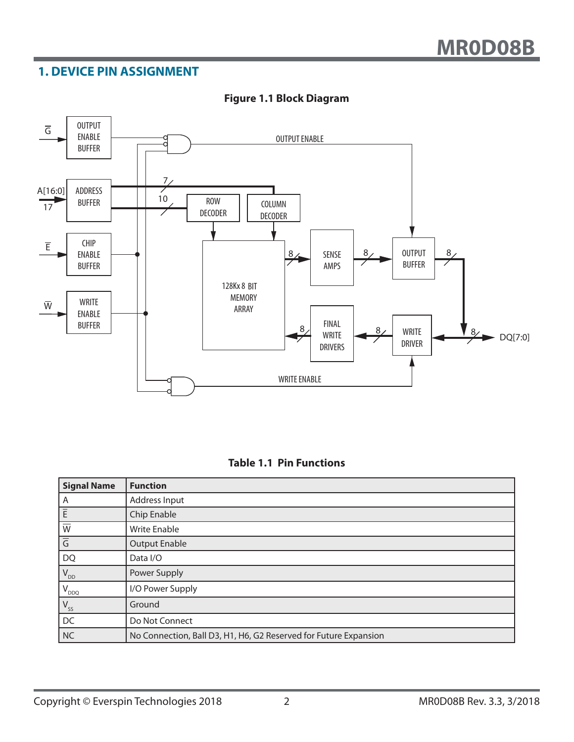# **1. DEVICE PIN ASSIGNMENT**



#### **Figure 1.1 Block Diagram**

|  |  |  | <b>Table 1.1 Pin Functions</b> |  |
|--|--|--|--------------------------------|--|
|--|--|--|--------------------------------|--|

| <b>Signal Name</b>        | <b>Function</b>                                                  |
|---------------------------|------------------------------------------------------------------|
| A                         | Address Input                                                    |
| E                         | Chip Enable                                                      |
| $\overline{\overline{w}}$ | <b>Write Enable</b>                                              |
| $\overline{5}$            | <b>Output Enable</b>                                             |
| DQ                        | Data I/O                                                         |
| $V_{DD}$                  | Power Supply                                                     |
| $V_{DDQ}$                 | I/O Power Supply                                                 |
| $V_{ss}$                  | Ground                                                           |
| DC                        | Do Not Connect                                                   |
| N <sub>C</sub>            | No Connection, Ball D3, H1, H6, G2 Reserved for Future Expansion |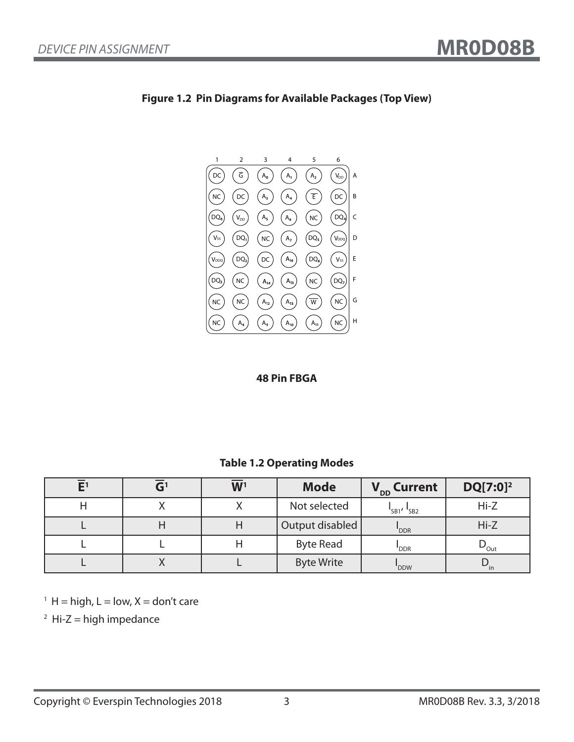

#### **Figure 1.2 Pin Diagrams for Available Packages (Top View)**

#### **48 Pin FBGA**

#### **Table 1.2 Operating Modes**

|  | $\overline{\mathbf{W}}$ <sup>1</sup> | <b>Mode</b>       | V <sub>DD</sub> Current | $DQ[7:0]^2$                |
|--|--------------------------------------|-------------------|-------------------------|----------------------------|
|  |                                      | Not selected      | $"SB1'$ $'SB2$          | $Hi-Z$                     |
|  |                                      | Output disabled   | 'DDR                    | $Hi-Z$                     |
|  |                                      | <b>Byte Read</b>  | "DDR                    | $\nu_{\text{Out}}$         |
|  |                                      | <b>Byte Write</b> | 'DDW                    | $\mathbf{v}_{\mathsf{in}}$ |

 $<sup>1</sup>$  H = high, L = low, X = don't care</sup>

 $2$  Hi-Z = high impedance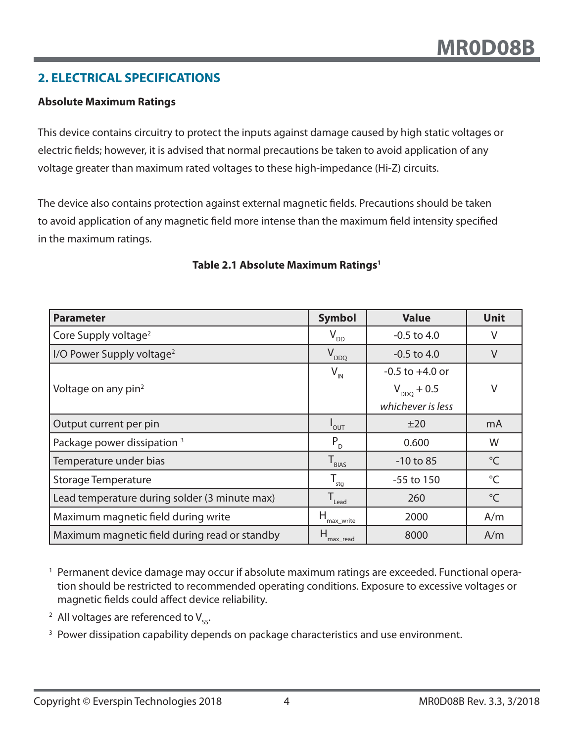# **2. ELECTRICAL SPECIFICATIONS**

#### **Absolute Maximum Ratings**

This device contains circuitry to protect the inputs against damage caused by high static voltages or electric fields; however, it is advised that normal precautions be taken to avoid application of any voltage greater than maximum rated voltages to these high-impedance (Hi-Z) circuits.

The device also contains protection against external magnetic fields. Precautions should be taken to avoid application of any magnetic field more intense than the maximum field intensity specified in the maximum ratings.

| <b>Parameter</b>                              | <b>Symbol</b>                | <b>Value</b>        | <b>Unit</b>          |
|-----------------------------------------------|------------------------------|---------------------|----------------------|
| Core Supply voltage <sup>2</sup>              | $V_{DD}$                     | $-0.5$ to $4.0$     | V                    |
| I/O Power Supply voltage <sup>2</sup>         | $V_{DDQ}$                    | $-0.5$ to 4.0       | $\vee$               |
|                                               | $V_{\text{IN}}$              | $-0.5$ to $+4.0$ or |                      |
| Voltage on any pin <sup>2</sup>               |                              | $V_{DDQ}$ + 0.5     | V                    |
|                                               |                              | whichever is less   |                      |
| Output current per pin                        | $"$ OUT                      | ±20                 | mA                   |
| Package power dissipation <sup>3</sup>        | $P_{D}$                      | 0.600               | W                    |
| Temperature under bias                        | $T_{BIAS}$                   | $-10$ to 85         | $\mathrm{C}^{\circ}$ |
| <b>Storage Temperature</b>                    | $T_{\underline{\text{stg}}}$ | $-55$ to 150        | $^{\circ}C$          |
| Lead temperature during solder (3 minute max) | $T_{\text{lead}}$            | 260                 | $^{\circ}$ C         |
| Maximum magnetic field during write           | Н<br>max write               | 2000                | A/m                  |
| Maximum magnetic field during read or standby | max read                     | 8000                | A/m                  |

#### **Table 2.1 Absolute Maximum Ratings1**

<sup>1</sup> Permanent device damage may occur if absolute maximum ratings are exceeded. Functional operation should be restricted to recommended operating conditions. Exposure to excessive voltages or magnetic fields could affect device reliability.

- <sup>2</sup> All voltages are referenced to  $V_{sc}$ .
- <sup>3</sup> Power dissipation capability depends on package characteristics and use environment.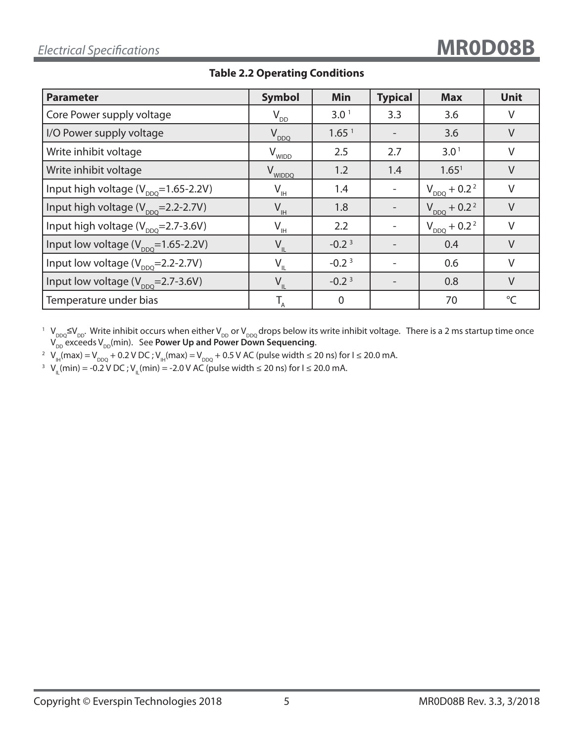| <b>Parameter</b>                                  | <b>Symbol</b>        | Min               | <b>Typical</b> | <b>Max</b>                   | <b>Unit</b>  |
|---------------------------------------------------|----------------------|-------------------|----------------|------------------------------|--------------|
| Core Power supply voltage                         | $V_{DD}$             | 3.0 <sup>1</sup>  | 3.3            | 3.6                          | V            |
| I/O Power supply voltage                          | $V_{DDQ}$            | 1.65 <sup>1</sup> |                | 3.6                          | $\vee$       |
| Write inhibit voltage                             | $V_{WIDD}$           | 2.5               | 2.7            | 3.0 <sup>1</sup>             | $\vee$       |
| Write inhibit voltage                             | V <sub>WIDDQ</sub>   | 1.2               | 1.4            | 1.65 <sup>1</sup>            | $\vee$       |
| Input high voltage ( $V_{\text{DDO}}$ =1.65-2.2V) | $\Lambda^{\text{H}}$ | 1.4               |                | $V_{DDQ}$ + 0.2 <sup>2</sup> | $\vee$       |
| Input high voltage (V <sub>ppo</sub> =2.2-2.7V)   | $V_{\text{IH}}$      | 1.8               |                | $V_{DDQ}$ + 0.2 <sup>2</sup> | $\vee$       |
| Input high voltage $(V_{\text{DDO}}=2.7-3.6V)$    | $V_{\underline{I}H}$ | 2.2               |                | $V_{DDQ}$ + 0.2 <sup>2</sup> | V            |
| Input low voltage $(V_{DDO} = 1.65 - 2.2V)$       | $V_{IL}$             | $-0.23$           |                | 0.4                          | $\vee$       |
| Input low voltage $(V_{\text{DDO}}=2.2-2.7V)$     | $V_{IL}$             | $-0.23$           |                | 0.6                          | $\vee$       |
| Input low voltage $(V_{\text{DDO}}=2.7-3.6V)$     | $V_{IL}$             | $-0.23$           |                | 0.8                          | $\vee$       |
| Temperature under bias                            |                      | $\overline{0}$    |                | 70                           | $^{\circ}$ C |

#### **Table 2.2 Operating Conditions**

<sup>1</sup> V<sub>DDQ</sub>≤V<sub>DD</sub>. Write inhibit occurs when either V<sub>DD</sub> or V<sub>DDQ</sub> drops below its write inhibit voltage. There is a 2 ms startup time once  $\bm{\mathsf{V}}_{\mathsf{DD}}$  exceeds  $\bm{\mathsf{V}}_{\mathsf{DD}}$ (min). See **Power Up and Power Down Sequencing**.

<sup>2</sup> V<sub>IH</sub>(max) = V<sub>DDQ</sub> + 0.2 V DC ; V<sub>IH</sub>(max) = V<sub>DDQ</sub> + 0.5 V AC (pulse width ≤ 20 ns) for I ≤ 20.0 mA.

<sup>3</sup> V<sub>IL</sub>(min) = -0.2 V DC ; V<sub>IL</sub>(min) = -2.0 V AC (pulse width ≤ 20 ns) for I ≤ 20.0 mA.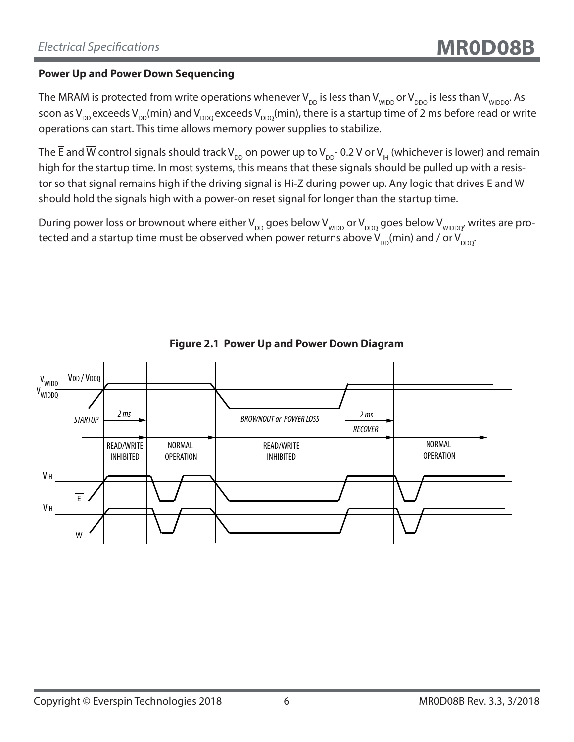#### **Power Up and Power Down Sequencing**

The MRAM is protected from write operations whenever  $V_{DD}$  is less than  $V_{WIDDQ}$  or  $V_{DDQ}$  is less than  $V_{WIDDQ}$ . As soon as  $V_{DD}$  exceeds  $V_{DD}(min)$  and  $V_{DDQ}$  exceeds  $V_{DDQ}(min)$ , there is a startup time of 2 ms before read or write operations can start. This time allows memory power supplies to stabilize.

The  $\overline{E}$  and  $\overline{W}$  control signals should track V<sub>DD</sub> on power up to V<sub>DD</sub>- 0.2 V or V<sub>H</sub> (whichever is lower) and remain high for the startup time. In most systems, this means that these signals should be pulled up with a resistor so that signal remains high if the driving signal is Hi-Z during power up. Any logic that drives  $\bar{E}$  and  $\bar{W}$ should hold the signals high with a power-on reset signal for longer than the startup time.

During power loss or brownout where either  $V_{DD}$  goes below  $V_{WDDQ}$  are below  $V_{WDDQ'}$  writes are protected and a startup time must be observed when power returns above  $V_{DD}(min)$  and / or  $V_{DDO}$ .



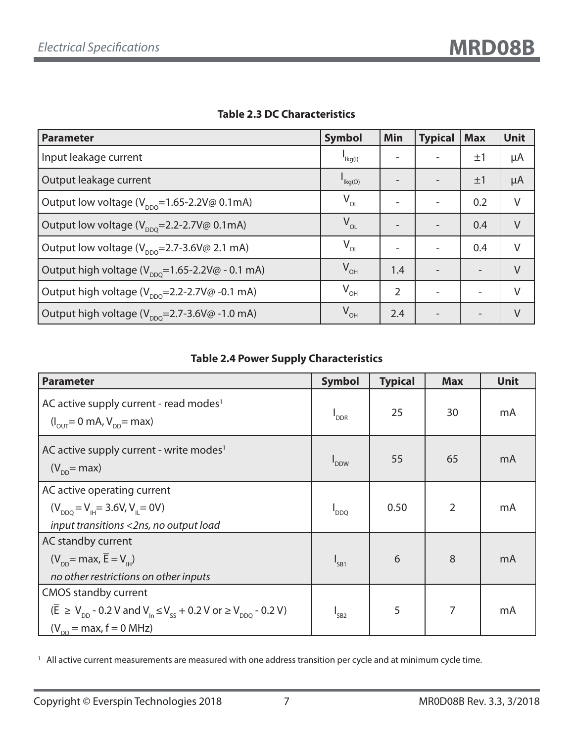| <b>Parameter</b>                                                               | <b>Symbol</b>                          | <b>Min</b> | <b>Typical</b> | <b>Max</b>               | <b>Unit</b> |
|--------------------------------------------------------------------------------|----------------------------------------|------------|----------------|--------------------------|-------------|
| Input leakage current                                                          | $I_{\text{lkg(l)}}$                    |            |                | $\pm 1$                  | μA          |
| Output leakage current                                                         | $\mathsf{I}_{\mathsf{Kg}(\mathsf{O})}$ |            |                | ±1                       | μA          |
| Output low voltage ( $V_{\text{DDO}}$ =1.65-2.2V@ 0.1mA)                       | $V_{OL}$                               |            |                | 0.2                      | V           |
| Output low voltage (V <sub>DDQ</sub> =2.2-2.7V@ 0.1mA)                         | $V_{OL}$                               |            |                | 0.4                      | $\vee$      |
| Output low voltage $(V_{\text{DDO}}=2.7-3.6V\textcircled{a} 2.1 \text{ mA})$   | $V_{OL}$                               |            |                | 0.4                      | V           |
| Output high voltage ( $V_{\text{DDO}}$ =1.65-2.2V@ - 0.1 mA)                   | $V_{OH}$                               | 1.4        |                | $\overline{a}$           | $\vee$      |
| Output high voltage $(V_{\text{DDO}}=2.2-2.7V\textcircled{a} -0.1 \text{ mA})$ | $V_{\text{OH}}$                        | 2          |                | $\overline{\phantom{0}}$ | V           |
| Output high voltage $(V_{\text{non}}=2.7-3.6V\textcircled{a} -1.0 \text{ mA})$ | $V_{\text{OH}}$                        | 2.4        |                | $\overline{\phantom{0}}$ | V           |

#### **Table 2.3 DC Characteristics**

### **Table 2.4 Power Supply Characteristics**

| <b>Parameter</b>                                                                                                                                                                                                | <b>Symbol</b>               | <b>Typical</b> | <b>Max</b>     | <b>Unit</b> |
|-----------------------------------------------------------------------------------------------------------------------------------------------------------------------------------------------------------------|-----------------------------|----------------|----------------|-------------|
| AC active supply current - read modes <sup>1</sup><br>$(I_{\text{out}} = 0 \text{ mA}, V_{\text{on}} = \text{max})$                                                                                             | <b>I</b> <sub>DDR</sub>     | 25             | 30             | mA          |
| AC active supply current - write modes <sup>1</sup><br>$(V_{\text{op}}$ = max)                                                                                                                                  | $\mathsf{I}_{\mathsf{DDW}}$ | 55             | 65             | mA          |
| AC active operating current<br>$(V_{DDO} = V_{\text{H}} = 3.6 V, V_{\text{H}} = 0V)$<br>input transitions <2ns, no output load                                                                                  | <b>DDQ</b>                  | 0.50           | $\overline{2}$ | mA          |
| AC standby current<br>$(V_{\text{DD}} = \text{max}, E = V_{\text{H}})$<br>no other restrictions on other inputs                                                                                                 | $I_{SB1}$                   | 6              | 8              | mA          |
| CMOS standby current<br>$(\overline{E} \ge V_{\text{nn}} - 0.2 V \text{ and } V_{\text{ln}} \le V_{\text{ss}} + 0.2 V \text{ or } V_{\text{DDO}} - 0.2 V)$<br>$(V_{\text{DD}} = \text{max}, f = 0 \text{ MHz})$ | I <sub>SB2</sub>            | 5              | 7              | mA          |

<sup>1</sup> All active current measurements are measured with one address transition per cycle and at minimum cycle time.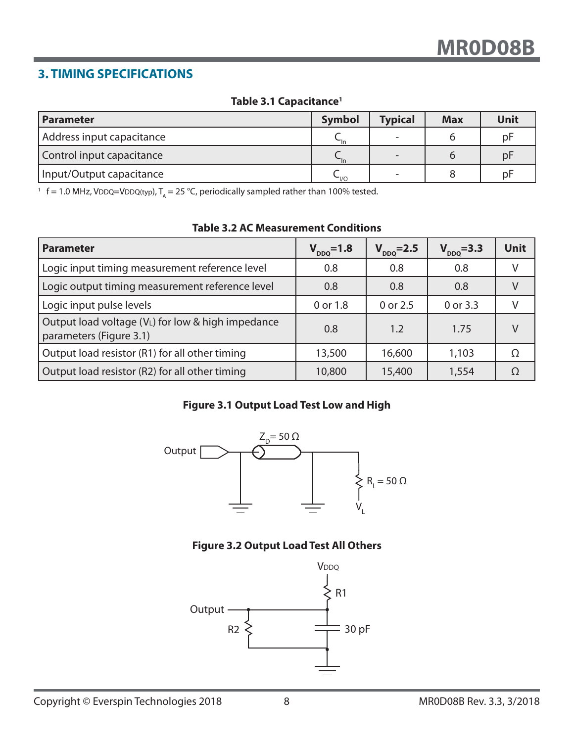# **3. TIMING SPECIFICATIONS**

#### **Table 3.1 Capacitance1**

| <b>Parameter</b>          | <b>Symbol</b>                   | <b>Typical</b> | <b>Max</b> | Unit |
|---------------------------|---------------------------------|----------------|------------|------|
| Address input capacitance |                                 |                |            | pF   |
| Control input capacitance | $\nightharpoonup$ <sub>In</sub> |                |            | pF   |
| Input/Output capacitance  | $\sim$ 1/0                      |                |            | pF   |

<sup>1</sup> f = 1.0 MHz, VDDQ=VDDQ(typ),  $T_A = 25$  °C, periodically sampled rather than 100% tested.

| <b>Parameter</b>                                                             | $V_{DDQ} = 1.8$ | $V_{DDQ} = 2.5$ | $V_{DDQ} = 3.3$ | <b>Unit</b> |
|------------------------------------------------------------------------------|-----------------|-----------------|-----------------|-------------|
| Logic input timing measurement reference level                               | 0.8             | 0.8             | 0.8             | V           |
| Logic output timing measurement reference level                              | 0.8             | 0.8             | 0.8             | V           |
| Logic input pulse levels                                                     | 0 or 1.8        | 0 or 2.5        | 0 or 3.3        |             |
| Output load voltage (VL) for low & high impedance<br>parameters (Figure 3.1) | 0.8             | 1.2             | 1.75            | $\vee$      |
| Output load resistor (R1) for all other timing                               | 13,500          | 16,600          | 1,103           | Ω           |
| Output load resistor (R2) for all other timing                               | 10,800          | 15,400          | 1,554           | Ω           |

#### **Table 3.2 AC Measurement Conditions**

#### **Figure 3.1 Output Load Test Low and High**



#### **Figure 3.2 Output Load Test All Others**

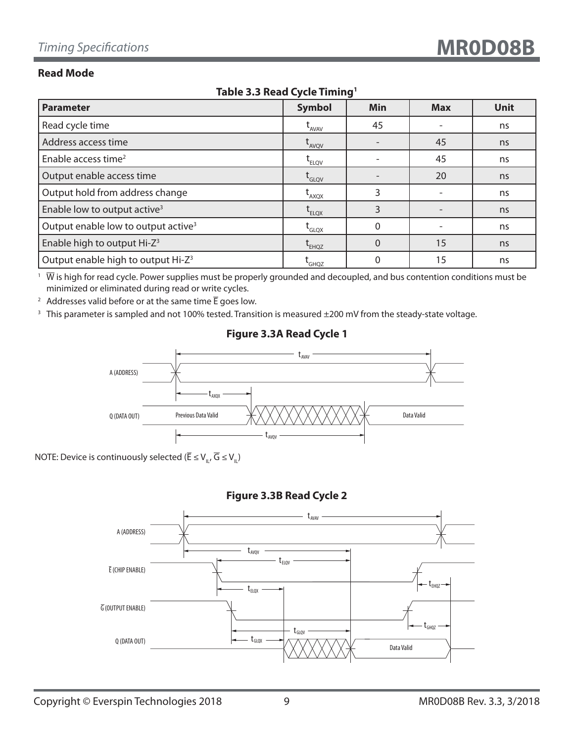#### **Read Mode**

| <b>Parameter</b>                                | <b>Symbol</b>                                        | Min      | <b>Max</b> | <b>Unit</b> |  |  |  |  |
|-------------------------------------------------|------------------------------------------------------|----------|------------|-------------|--|--|--|--|
| Read cycle time                                 | $t_{AVAV}$                                           | 45       |            | ns          |  |  |  |  |
| Address access time                             | $t_{AVQV}$                                           |          | 45         | ns          |  |  |  |  |
| Enable access time <sup>2</sup>                 | $t_{ELOV}$                                           |          | 45         | ns          |  |  |  |  |
| Output enable access time                       | $\mathsf{t}_{\mathsf{GLQV}}^{}$                      |          | 20         | ns          |  |  |  |  |
| Output hold from address change                 | $L_{AXQX}$                                           | 3        |            | ns          |  |  |  |  |
| Enable low to output active <sup>3</sup>        | $t_{ELOX}$                                           | 3        |            | ns          |  |  |  |  |
| Output enable low to output active <sup>3</sup> | $\operatorname{t}_{\scriptscriptstyle\mathsf{GLQX}}$ | $\Omega$ |            | ns          |  |  |  |  |
| Enable high to output Hi-Z <sup>3</sup>         | $t_{EHQZ}$                                           | $\Omega$ | 15         | ns          |  |  |  |  |
| Output enable high to output Hi-Z <sup>3</sup>  | <b>L</b> GHQZ                                        |          | 15         | ns          |  |  |  |  |

#### **Table 3.3 Read Cycle Timing1**

 $1\;\overline{W}$  is high for read cycle. Power supplies must be properly grounded and decoupled, and bus contention conditions must be minimized or eliminated during read or write cycles.

<sup>2</sup> Addresses valid before or at the same time  $\overline{E}$  goes low.

<sup>3</sup> This parameter is sampled and not 100% tested. Transition is measured ±200 mV from the steady-state voltage.

# A (ADDRESS) Q (DATA OUT) t<sub>AVAV</sub>  $t_{A}^{\phantom{\dag}}$ tavqv Previous Data Valid  $\mathcal{X} \times \mathcal{Y} \times \mathcal{Y} \times \mathcal{Y} \times \mathcal{Y} \times \mathcal{Y} \times \mathcal{Y} \times \mathcal{Y}$  Data Valid

#### **Figure 3.3A Read Cycle 1**

NOTE: Device is continuously selected ( $\overline{\mathsf{E}} \leq \mathsf{V}_{\mathsf{u}}, \overline{\mathsf{G}} \leq \mathsf{V}_{\mathsf{u}}$ )

#### **Figure 3.3B Read Cycle 2**

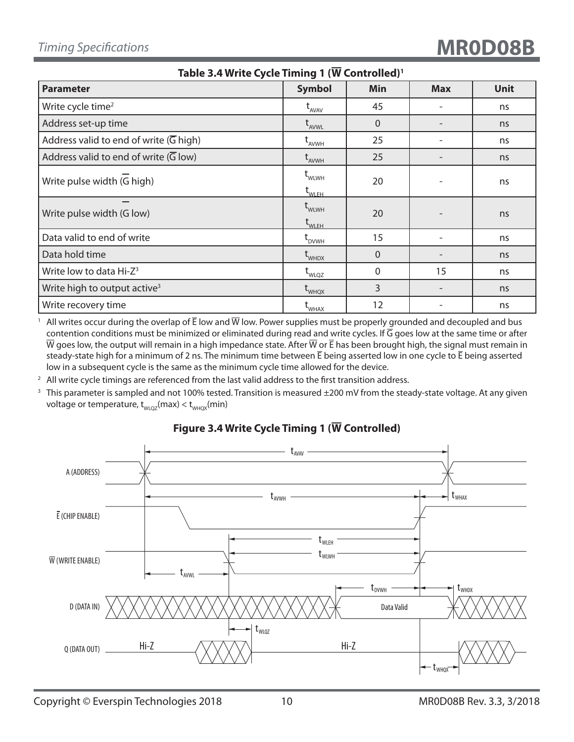| Table 3.4 Write Cycle Timing 1 (W Controlled) <sup>1</sup> |                                                       |            |            |             |  |  |  |  |
|------------------------------------------------------------|-------------------------------------------------------|------------|------------|-------------|--|--|--|--|
| <b>Parameter</b>                                           | <b>Symbol</b>                                         | <b>Min</b> | <b>Max</b> | <b>Unit</b> |  |  |  |  |
| Write cycle time <sup>2</sup>                              | $t_{AVAV}$                                            | 45         | ۰          | ns          |  |  |  |  |
| Address set-up time                                        | $t_{AVWL}$                                            | $\Omega$   |            | ns          |  |  |  |  |
| Address valid to end of write $(\overline{G}$ high)        | $t_{AVWH}$                                            | 25         |            | ns          |  |  |  |  |
| Address valid to end of write $(\overline{G}$ low)         | $\operatorname{\mathsf{t}}_{_{\mathsf{AVWH}}}$        | 25         |            | ns          |  |  |  |  |
| Write pulse width (G high)                                 | $t_{\text{WLWH}}$<br>$\mathsf{t}_{\mathsf{WLEH}}$     | 20         |            | ns          |  |  |  |  |
| Write pulse width (G low)                                  | $\operatorname{t}_{\text{WLWH}}$<br>$t_{\text{WLEH}}$ | 20         |            | ns          |  |  |  |  |
| Data valid to end of write                                 | L <sub>DVWH</sub>                                     | 15         |            | ns          |  |  |  |  |
| Data hold time                                             | $t_{\text{whDX}}$                                     | $\Omega$   |            | ns          |  |  |  |  |
| Write low to data Hi-Z <sup>3</sup>                        | $t_{\text{WLQZ}}$                                     | 0          | 15         | ns          |  |  |  |  |
| Write high to output active <sup>3</sup>                   | $t_{\text{WHQX}}$                                     | 3          |            | ns          |  |  |  |  |
| Write recovery time                                        | WHAX                                                  | 12         |            | ns          |  |  |  |  |

<sup>1</sup> All writes occur during the overlap of  $\bar{E}$  low and  $\overline{W}$  low. Power supplies must be properly grounded and decoupled and bus contention conditions must be minimized or eliminated during read and write cycles. If  $\overline{G}$  goes low at the same time or after  $\overline{W}$  goes low, the output will remain in a high impedance state. After  $\overline{W}$  or  $\overline{E}$  has been brought high, the signal must remain in steady-state high for a minimum of 2 ns. The minimum time between  $\bar{E}$  being asserted low in one cycle to  $\bar{E}$  being asserted low in a subsequent cycle is the same as the minimum cycle time allowed for the device.

 $2$  All write cycle timings are referenced from the last valid address to the first transition address.

<sup>3</sup> This parameter is sampled and not 100% tested. Transition is measured  $\pm 200$  mV from the steady-state voltage. At any given voltage or temperature,  $t_{w_{\text{UQZ}}}(\text{max}) < t_{w_{\text{HQX}}}(\text{min})$ 



### **Figure 3.4 Write Cycle Timing 1 (W Controlled)**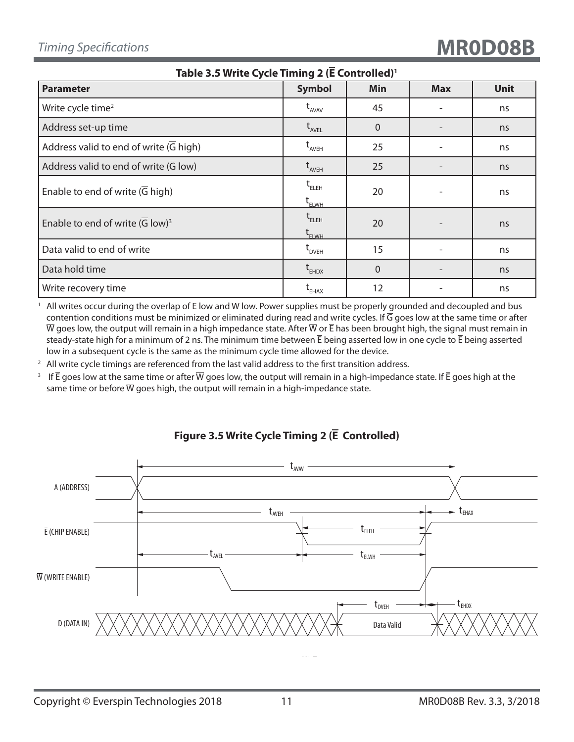| Table 3.5 Write Cycle Timing 2 (E Controlled) <sup>1</sup> |                                                                             |                |            |             |  |
|------------------------------------------------------------|-----------------------------------------------------------------------------|----------------|------------|-------------|--|
| <b>Parameter</b>                                           | <b>Symbol</b>                                                               | Min            | <b>Max</b> | <b>Unit</b> |  |
| Write cycle time <sup>2</sup>                              | $t_{AVAV}$                                                                  | 45             |            | ns          |  |
| Address set-up time                                        | $t_{_{AVEL}}$                                                               | $\overline{0}$ |            | ns          |  |
| Address valid to end of write $(\overline{G}$ high)        | $t_{AVEH}$                                                                  | 25             |            | ns          |  |
| Address valid to end of write (G low)                      | $t_{AVEH}$                                                                  | 25             |            | ns          |  |
| Enable to end of write (G high)                            | $t_{ELEH}$<br>$\operatorname{\mathsf{t}}_{\scriptscriptstyle\mathsf{ELWH}}$ | 20             |            | ns          |  |
| Enable to end of write $(\overline{G} \text{ low})^3$      | $t_{ELEH}$<br>$\rm{t_{ELWH}}$                                               | 20             |            | ns          |  |
| Data valid to end of write                                 | $\operatorname{t}_{\text{\tiny{DVEH}}}$                                     | 15             |            | ns          |  |
| Data hold time                                             | $t_{EHDX}$                                                                  | $\overline{0}$ |            | ns          |  |
| Write recovery time                                        | L <sub>EHAX</sub>                                                           | 12             |            | ns          |  |

All writes occur during the overlap of  $\bar{E}$  low and  $\bar{W}$  low. Power supplies must be properly grounded and decoupled and bus contention conditions must be minimized or eliminated during read and write cycles. If  $\overline{G}$  goes low at the same time or after  $\overline{W}$  goes low, the output will remain in a high impedance state. After  $\overline{W}$  or  $\overline{E}$  has been brought high, the signal must remain in steady-state high for a minimum of 2 ns. The minimum time between E being asserted low in one cycle to E being asserted low in a subsequent cycle is the same as the minimum cycle time allowed for the device.

 $2$  All write cycle timings are referenced from the last valid address to the first transition address.

<sup>3</sup> If  $\bar{E}$  goes low at the same time or after  $\bar{W}$  goes low, the output will remain in a high-impedance state. If  $\bar{E}$  goes high at the same time or before  $\overline{W}$  goes high, the output will remain in a high-impedance state.



#### **Figure 3.5 Write Cycle Timing 2 (E Controlled)**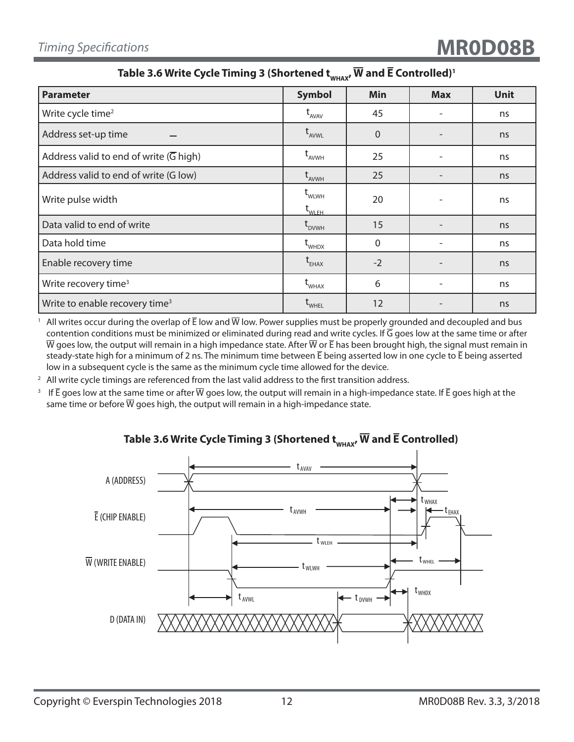### Table 3.6 Write Cycle Timing 3 (Shortened  $t_{w\text{HAX}}$ ,  $\overline{W}$  and  $\overline{E}$  Controlled)<sup>1</sup>

| <b>Parameter</b>                                    | <b>Symbol</b>                                              | Min            | <b>Max</b> | <b>Unit</b> |
|-----------------------------------------------------|------------------------------------------------------------|----------------|------------|-------------|
| Write cycle time <sup>2</sup>                       | $t_{AVAV}$                                                 | 45             |            | ns          |
| Address set-up time                                 | $t_{AVWL}$                                                 | $\Omega$       |            | ns          |
| Address valid to end of write $(\overline{G}$ high) | $t_{AVWH}$                                                 | 25             |            | ns          |
| Address valid to end of write (G low)               | $t_{AVWH}$                                                 | 25             |            | ns          |
| Write pulse width                                   | $\mathbf{t}_{\text{WLWH}}$<br>$\mathsf{t}_{\mathsf{wLEH}}$ | 20             |            | ns          |
| Data valid to end of write                          | $t_{DVMH}$                                                 | 15             |            | ns          |
| Data hold time                                      | $t_{\text{whDX}}$                                          | $\overline{0}$ |            | ns          |
| Enable recovery time                                | $t_{EHAX}$                                                 | $-2$           |            | ns          |
| Write recovery time <sup>3</sup>                    | $t_{\text{WHAX}}$                                          | 6              |            | ns          |
| Write to enable recovery time <sup>3</sup>          | WHEL                                                       | 12             |            | ns          |

<sup>1</sup> All writes occur during the overlap of  $\bar{E}$  low and  $\overline{W}$  low. Power supplies must be properly grounded and decoupled and bus contention conditions must be minimized or eliminated during read and write cycles. If  $\overline{G}$  goes low at the same time or after  $\overline{W}$  goes low, the output will remain in a high impedance state. After  $\overline{W}$  or  $\overline{E}$  has been brought high, the signal must remain in steady-state high for a minimum of 2 ns. The minimum time between  $\bar{E}$  being asserted low in one cycle to  $\bar{E}$  being asserted low in a subsequent cycle is the same as the minimum cycle time allowed for the device.

 $2$  All write cycle timings are referenced from the last valid address to the first transition address.

<sup>3</sup> If  $\bar{E}$  goes low at the same time or after  $\bar{W}$  goes low, the output will remain in a high-impedance state. If  $\bar{E}$  goes high at the same time or before  $\overline{W}$  goes high, the output will remain in a high-impedance state.



#### Table 3.6 Write Cycle Timing 3 (Shortened  $t_{w\text{max}}$ ,  $\overline{W}$  and  $\overline{E}$  Controlled)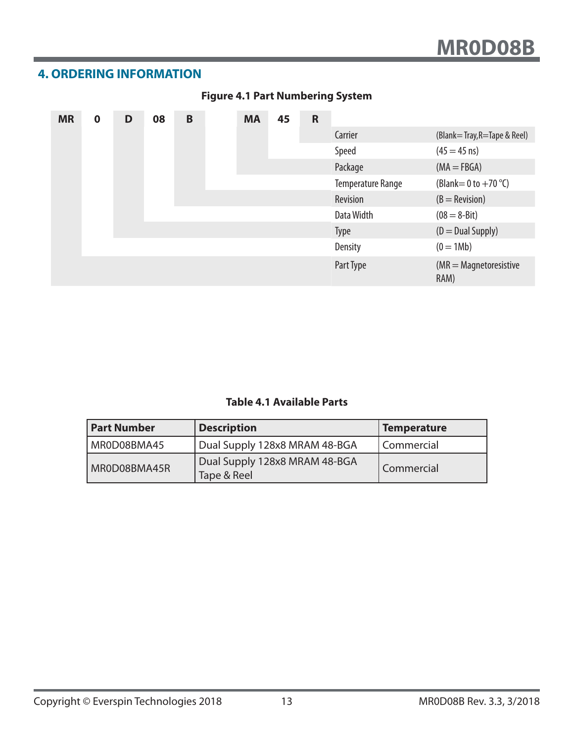# **4. ORDERING INFORMATION**

| <b>MR</b> | $\mathbf 0$ | D | 08 | B | <b>MA</b> | 45 | $\mathbf R$ |                          |                                      |
|-----------|-------------|---|----|---|-----------|----|-------------|--------------------------|--------------------------------------|
|           |             |   |    |   |           |    |             | Carrier                  | (Blank=Tray, R=Tape & Reel)          |
|           |             |   |    |   |           |    |             | Speed                    | $(45 = 45 \text{ ns})$               |
|           |             |   |    |   |           |    |             | Package                  | $(MA = FBGA)$                        |
|           |             |   |    |   |           |    |             | <b>Temperature Range</b> | (Blank = 0 to $+70$ °C)              |
|           |             |   |    |   |           |    |             | Revision                 | $(B = \text{Revision})$              |
|           |             |   |    |   |           |    |             | Data Width               | $(08 = 8 - Bit)$                     |
|           |             |   |    |   |           |    |             | <b>Type</b>              | $(D = Dual Supply)$                  |
|           |             |   |    |   |           |    |             | <b>Density</b>           | $(0 = 1Mb)$                          |
|           |             |   |    |   |           |    |             | Part Type                | $(MR = Magnetic resistance)$<br>RAM) |

### **Figure 4.1 Part Numbering System**

# **Table 4.1 Available Parts**

| <b>Part Number</b> | <b>Description</b>                           | Temperature  |
|--------------------|----------------------------------------------|--------------|
| MR0D08BMA45        | Dual Supply 128x8 MRAM 48-BGA                | l Commercial |
| MR0D08BMA45R       | Dual Supply 128x8 MRAM 48-BGA<br>Tape & Reel | Commercial   |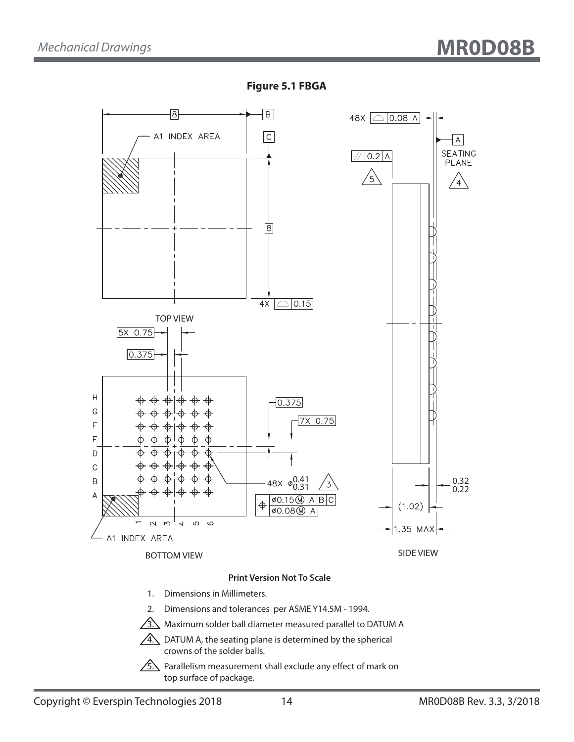



 $\sqrt{5}$ . Parallelism measurement shall exclude any effect of mark on top surface of package.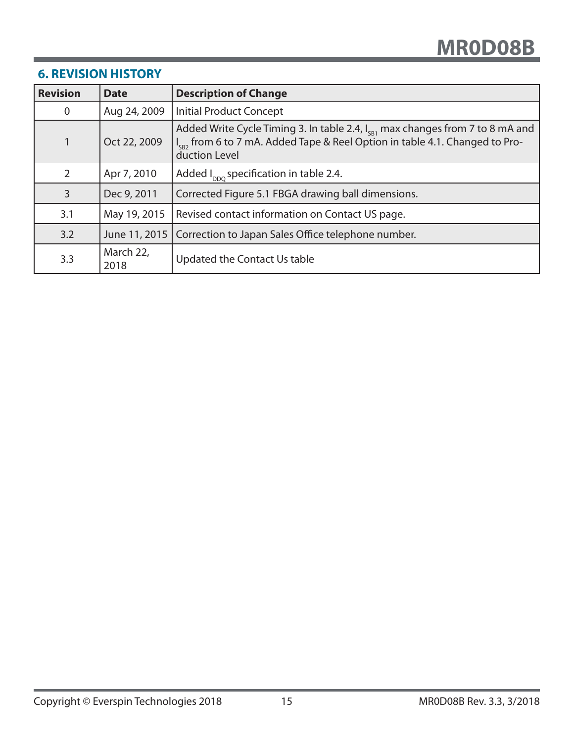# **6. REVISION HISTORY**

| <b>Revision</b> | <b>Date</b>       | <b>Description of Change</b>                                                                                                                                                                        |
|-----------------|-------------------|-----------------------------------------------------------------------------------------------------------------------------------------------------------------------------------------------------|
| 0               | Aug 24, 2009      | <b>Initial Product Concept</b>                                                                                                                                                                      |
|                 | Oct 22, 2009      | Added Write Cycle Timing 3. In table 2.4, $I_{\text{c}}$ max changes from 7 to 8 mA and<br>I <sub>SB2</sub> from 6 to 7 mA. Added Tape & Reel Option in table 4.1. Changed to Pro-<br>duction Level |
| 2               | Apr 7, 2010       | Added $I_{\text{DDO}}$ specification in table 2.4.                                                                                                                                                  |
| 3               | Dec 9, 2011       | Corrected Figure 5.1 FBGA drawing ball dimensions.                                                                                                                                                  |
| 3.1             | May 19, 2015      | Revised contact information on Contact US page.                                                                                                                                                     |
| 3.2             | June 11, 2015     | Correction to Japan Sales Office telephone number.                                                                                                                                                  |
| 3.3             | March 22,<br>2018 | Updated the Contact Us table                                                                                                                                                                        |